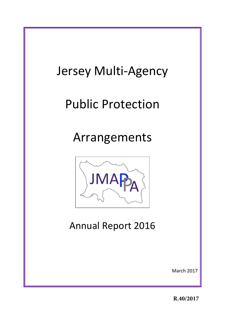# Jersey Multi-Agency Public Protection Arrangements JMAF Annual Report 2016 March 2017

**R.40/2017**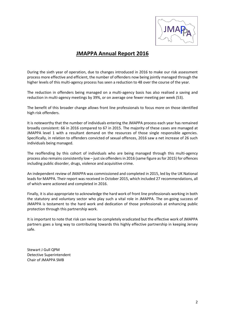

# **JMAPPA Annual Report 2016**

During the sixth year of operation, due to changes introduced in 2016 to make our risk assessment process more effective and efficient, the number of offenders now being jointly managed through the higher levels of this multi-agency process has seen a reduction to 48 over the course of the year.

The reduction in offenders being managed on a multi-agency basis has also realised a saving and reduction in multi-agency meetings by 39%, or on average one fewer meeting per week (53).

The benefit of this broader change allows front line professionals to focus more on those identified high risk offenders.

It is noteworthy that the number of individuals entering the JMAPPA process each year has remained broadly consistent: 66 in 2016 compared to 67 in 2015. The majority of these cases are managed at JMAPPA level 1 with a resultant demand on the resources of those single responsible agencies. Specifically, in relation to offenders convicted of sexual offences, 2016 saw a net increase of 26 such individuals being managed.

The reoffending by this cohort of individuals who are being managed through this multi-agency process also remains consistently low – just six offenders in 2016 (same figure as for 2015) for offences including public disorder, drugs, violence and acquisitive crime.

An independent review of JMAPPA was commissioned and completed in 2015, led by the UK National leads for MAPPA. Their report was received in October 2015, which included 27 recommendations, all of which were actioned and completed in 2016.

Finally, it is also appropriate to acknowledge the hard work of front line professionals working in both the statutory and voluntary sector who play such a vital role in JMAPPA. The on-going success of JMAPPA is testament to the hard work and dedication of those professionals at enhancing public protection through this partnership work.

It is important to note that risk can never be completely eradicated but the effective work of JMAPPA partners goes a long way to contributing towards this highly effective partnership in keeping Jersey safe.

Stewart J Gull QPM Detective Superintendent Chair of JMAPPA SMB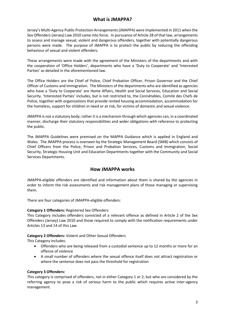## **What is JMAPPA?**

Jersey's Multi-Agency Public Protection Arrangements (JMAPPA) were implemented in 2011 when the Sex Offenders (Jersey) Law 2010 came into force. In pursuance of Article 28 of that law, arrangements to assess and manage sexual, violent and dangerous offenders, together with potentially dangerous persons were made. The purpose of JMAPPA is to protect the public by reducing the offending behaviour of sexual and violent offenders.

These arrangements were made with the agreement of the Ministers of the departments and with the cooperation of 'Office Holders', departments who have a 'Duty to Cooperate' and 'Interested Parties' as detailed in the aforementioned law.

The Office Holders are the Chief of Police, Chief Probation Officer, Prison Governor and the Chief Officer of Customs and Immigration. The Ministers of the departments who are identified as agencies who have a 'Duty to Cooperate' are Home Affairs, Health and Social Services, Education and Social Security. 'Interested Parties' includes, but is not restricted to, the Connétables, Comité des Chefs de Police, together with organisations that provide rented housing accommodation, accommodation for the homeless, support for children in need or at risk, for victims of domestic and sexual violence.

JMAPPA is not a statutory body; rather it is a mechanism through which agencies can, in a coordinated manner, discharge their statutory responsibilities and wider obligations with reference to protecting the public.

The JMAPPA Guidelines were premised on the MAPPA Guidance which is applied in England and Wales. The JMAPPA process is overseen by the Strategic Management Board (SMB) which consists of Chief Officers from the Police, Prison and Probation Services, Customs and Immigration, Social Security, Strategic Housing Unit and Education Departments together with the Community and Social Services Departments.

#### **How JMAPPA works**

JMAPPA-eligible offenders are identified and information about them is shared by the agencies in order to inform the risk assessments and risk management plans of those managing or supervising them.

There are four categories of JMAPPA-eligible offenders:

#### **Category 1 Offenders:** Registered Sex Offenders

This Category includes offenders convicted of a relevant offence as defined in Article 2 of the Sex Offenders (Jersey) Law 2010 and those required to comply with the notification requirements under Articles 13 and 14 of this Law.

#### **Category 2 Offenders:** Violent and Other Sexual Offenders

This Category includes:

- Offenders who are being released from a custodial sentence up to 12 months or more for an offence of violence
- A small number of offenders where the sexual offence itself does not attract registration or where the sentence does not pass the threshold for registration

#### **Category 3 Offenders:**

This category is comprised of offenders, not in either Category 1 or 2, but who are considered by the referring agency to pose a risk of serious harm to the public which requires active inter-agency management.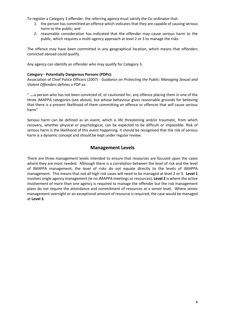To register a Category 3 offender, the referring agency must satisfy the Co-ordinator that:

- 1. the person has committed an offence which indicates that they are capable of causing serious harm to the public; and
- 2. reasonable consideration has indicated that the offender may cause serious harm to the public, which requires a multi-agency approach at level 2 or 3 to manage the risks

The offence may have been committed in any geographical location, which means that offenders convicted abroad could qualify.

Any agency can identify an offender who may qualify for Category 3.

#### **Category - Potentially Dangerous Persons (PDPs):**

Association of Chief Police Officers (2007) *- Guidance on Protecting the Public: Managing Sexual and Violent Offenders* defines a PDP as:

" **….**a person who has not been convicted of, or cautioned for, any offence placing them in one of the three JMAPPA categories (see above), but whose behaviour gives reasonable grounds for believing that there is a present likelihood of them committing an offence or offences that will cause serious harm"

Serious harm can be defined as an event, which is life threatening and/or traumatic, from which recovery, whether physical or psychological, can be expected to be difficult or impossible. Risk of serious harm is the likelihood of this event happening. It should be recognised that the risk of serious harm is a dynamic concept and should be kept under regular review.

#### **Management Levels**

There are three management levels intended to ensure that resources are focused upon the cases where they are most needed. Although there is a correlation between the level of risk and the level of JMAPPA management, the level of risks do not equate directly to the levels of JMAPPA management. This means that not all high-risk cases will need to be managed at level 2 or 3. **Level 1** involves single agency management (ie no JMAPPA meetings or resources); **Level 2** is where the active involvement of more than one agency is required to manage the offender but the risk management plans do not require the attendance and commitment of resources at a senior level. Where senior management oversight or an exceptional amount of resource is required, the case would be managed at **Level 3.**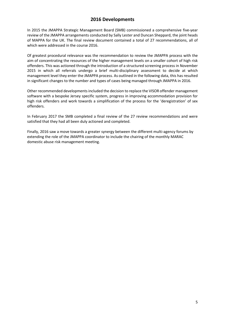## **2016 Developments**

In 2015 the JMAPPA Strategic Management Board (SMB) commissioned a comprehensive five-year review of the JMAPPA arrangements conducted by Sally Lester and Duncan Sheppard, the joint heads of MAPPA for the UK. The final review document contained a total of 27 recommendations, all of which were addressed in the course 2016.

Of greatest procedural relevance was the recommendation to review the JMAPPA process with the aim of concentrating the resources of the higher management levels on a smaller cohort of high risk offenders. This was actioned through the introduction of a structured screening process in November 2015 in which all referrals undergo a brief multi-disciplinary assessment to decide at which management level they enter the JMAPPA process. As outlined in the following data, this has resulted in significant changes to the number and types of cases being managed through JMAPPA in 2016.

Other recommended developments included the decision to replace the VISOR offender management software with a bespoke Jersey specific system, progress in improving accommodation provision for high risk offenders and work towards a simplification of the process for the 'deregistration' of sex offenders.

In February 2017 the SMB completed a final review of the 27 review recommendations and were satisfied that they had all been duly actioned and completed.

Finally, 2016 saw a move towards a greater synergy between the different multi-agency forums by extending the role of the JMAPPA coordinator to include the chairing of the monthly MARAC domestic abuse risk management meeting.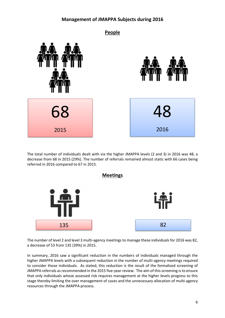## **Management of JMAPPA Subjects during 2016**



The total number of individuals dealt with via the higher JMAPPA levels (2 and 3) in 2016 was 48, a decrease from 68 in 2015 (29%). The number of referrals remained almost static with 66 cases being referred in 2016 compared to 67 in 2015.



The number of level 2 and level 3 multi-agency meetings to manage these individuals for 2016 was 82, a decrease of 53 from 135 (39%) in 2015.

In summary, 2016 saw a significant reduction in the numbers of individuals managed through the higher JMAPPA levels with a subsequent reduction in the number of multi-agency meetings required to consider those individuals. As stated, this reduction is the result of the formalised screening of JMAPPA referrals as recommended in the 2015 five-year review. The aim of this screening is to ensure that only individuals whose assessed risk requires management at the higher levels progress to this stage thereby limiting the over management of cases and the unnecessary allocation of multi-agency resources through the JMAPPA process.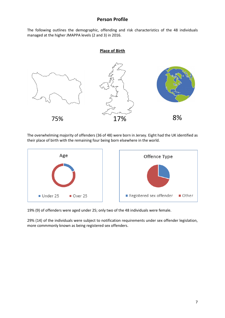### **Person Profile**

The following outlines the demographic, offending and risk characteristics of the 48 individuals managed at the higher JMAPPA levels (2 and 3) in 2016.

#### **Place of Birth**



The overwhelming majority of offenders (36 of 48) were born in Jersey. Eight had the UK identified as The overwhelming majority of offenders (36 of 48) were born in Jersey. Eight ha<br>their place of birth with the remaining four being born elsewhere in the world.



19% (9) of offenders were aged under 25; only two of the 48 individuals were female.

29% (14) of the individuals were subject to notification requirements under sex offender legislation, more commmonly known as being registered sex offenders.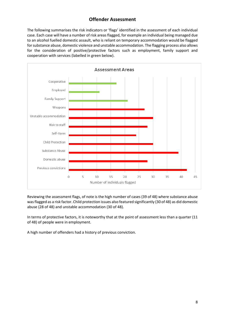## **Offender Assessment**

The following summarises the risk indicators or 'flags' identified in the assessment of each individual case. Each case will have a number of risk areas flagged, for example an individual being managed due to an alcohol fuelled domestic assault, who is reliant on temporary accommodation would be flagged for substance abuse, domestic violence and unstable accommodation. The flagging process also allows for the consideration of positive/protective factors such as employment, family support and cooperation with services (labelled in green below).



Reviewing the assessment flags, of note is the high number of cases (39 of 48) where substance abuse was flagged as a risk factor. Child protection issues also featured significantly (30 of 48) as did domestic abuse (28 of 48) and unstable accommodation (30 of 48).

In terms of protective factors, it is noteworthy that at the point of assessment less than a quarter (11 of 48) of people were in employment.

A high number of offenders had a history of previous conviction.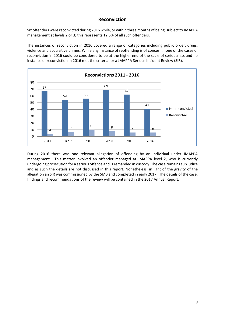## **Reconviction**

Six offenders were reconvicted during 2016 while, or within three months of being, subject to JMAPPA management at levels 2 or 3; this represents 12.5% of all such offenders.

The instances of reconviction in 2016 covered a range of categories including public order, drugs, violence and acquisitive crimes. While any instance of reoffending is of concern, none of the cases of reconviction in 2016 could be considered to be at the higher end of the scale of seriousness and no instance of reconviction in 2016 met the criteria for a JMAPPA Serious Incident Review (SIR).



During 2016 there was one relevant allegation of offending by an individual under JMAPPA management. This matter involved an offender managed at JMAPPA level 2, who is currently undergoing prosecution for a serious offence and is remanded in custody. The case remains sub judice and as such the details are not discussed in this report. Nonetheless, in light of the gravity of the allegation an SIR was commissioned by the SMB and completed in early 2017. The details of the case, findings and recommendations of the review will be contained in the 2017 Annual Report.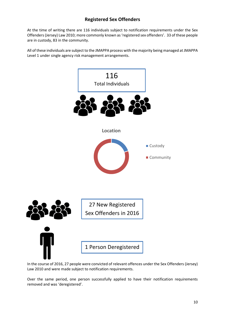# **Registered Sex Offenders**

At the time of writing there are 116 individuals subject to notification requirements under the Sex Offenders (Jersey) Law 2010; more commonly known as 'registered sex offenders'. 33 of these people are in custody, 83 in the community.

All of these individuals are subject to the JMAPPA process with the majority being managed at JMAPPA Level 1 under single agency risk management arrangements.



In the course of 2016, 27 people were convicted of relevant offences under the Sex Offenders (Jersey) Law 2010 and were made subject to notification requirements.

Over the same period, one person successfully applied to have their notification requirements removed and was 'deregistered'.